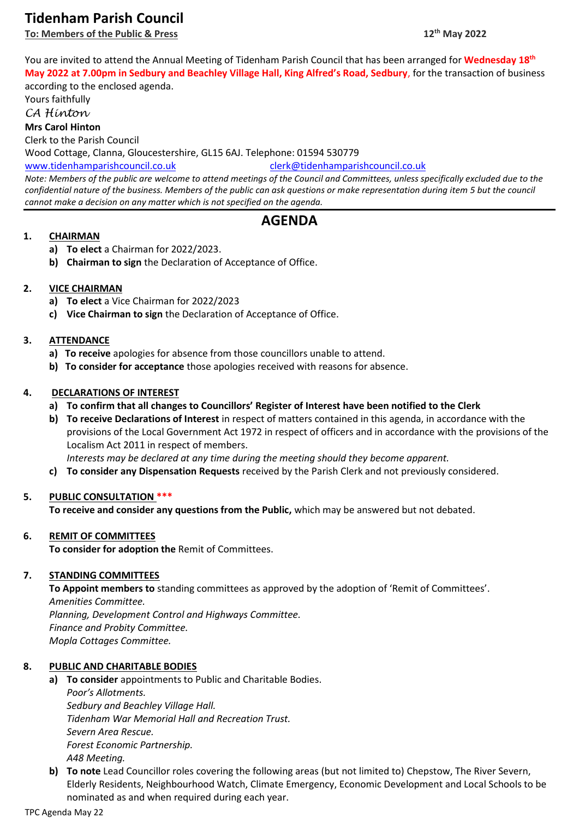# **Tidenham Parish Council**

**To: Members of the Public & Press 12**

You are invited to attend the Annual Meeting of Tidenham Parish Council that has been arranged for **Wednesday 18th May 2022 at 7.00pm in Sedbury and Beachley Village Hall, King Alfred's Road, Sedbury**, for the transaction of business according to the enclosed agenda.

Yours faithfully

*CA Hinton*

**Mrs Carol Hinton**

Clerk to the Parish Council

Wood Cottage, Clanna, Gloucestershire, GL15 6AJ. Telephone: 01594 530779

[www.tidenhamparishcouncil.co.uk](http://www.tidenhamparishcouncil.co.uk/) [clerk@tidenhamparishcouncil.co.uk](mailto:clerk@tidenhamparishcouncil.co.uk)

*Note: Members of the public are welcome to attend meetings of the Council and Committees, unless specifically excluded due to the confidential nature of the business. Members of the public can ask questions or make representation during item 5 but the council cannot make a decision on any matter which is not specified on the agenda.*

# **AGENDA**

# **1. CHAIRMAN**

- **a) To elect** a Chairman for 2022/2023.
- **b) Chairman to sign** the Declaration of Acceptance of Office.

# **2. VICE CHAIRMAN**

- **a) To elect** a Vice Chairman for 2022/2023
- **c) Vice Chairman to sign** the Declaration of Acceptance of Office.

# **3. ATTENDANCE**

- **a) To receive** apologies for absence from those councillors unable to attend.
- **b) To consider for acceptance** those apologies received with reasons for absence.

# **4. DECLARATIONS OF INTEREST**

- **a) To confirm that all changes to Councillors' Register of Interest have been notified to the Clerk**
- **b) To receive Declarations of Interest** in respect of matters contained in this agenda, in accordance with the provisions of the Local Government Act 1972 in respect of officers and in accordance with the provisions of the Localism Act 2011 in respect of members.

*Interests may be declared at any time during the meeting should they become apparent.*

**c) To consider any Dispensation Requests** received by the Parish Clerk and not previously considered.

# **5. PUBLIC CONSULTATION \*\*\***

**To receive and consider any questions from the Public,** which may be answered but not debated.

# **6. REMIT OF COMMITTEES**

**To consider for adoption the** Remit of Committees.

# **7. STANDING COMMITTEES**

**To Appoint members to** standing committees as approved by the adoption of 'Remit of Committees'. *Amenities Committee. Planning, Development Control and Highways Committee. Finance and Probity Committee. Mopla Cottages Committee.*

# **8. PUBLIC AND CHARITABLE BODIES**

**a) To consider** appointments to Public and Charitable Bodies. *Poor's Allotments. Sedbury and Beachley Village Hall. Tidenham War Memorial Hall and Recreation Trust. Severn Area Rescue. Forest Economic Partnership. A48 Meeting.*

**b) To note** Lead Councillor roles covering the following areas (but not limited to) Chepstow, The River Severn, Elderly Residents, Neighbourhood Watch, Climate Emergency, Economic Development and Local Schools to be nominated as and when required during each year.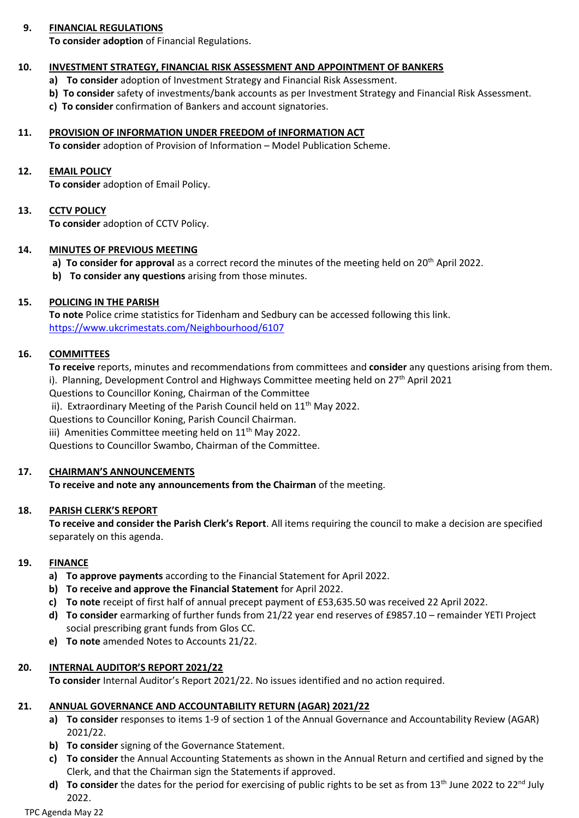# **9. FINANCIAL REGULATIONS**

**To consider adoption** of Financial Regulations.

## **10. INVESTMENT STRATEGY, FINANCIAL RISK ASSESSMENT AND APPOINTMENT OF BANKERS**

- **a) To consider** adoption of Investment Strategy and Financial Risk Assessment.
- **b) To consider** safety of investments/bank accounts as per Investment Strategy and Financial Risk Assessment.
- **c) To consider** confirmation of Bankers and account signatories.

## **11. PROVISION OF INFORMATION UNDER FREEDOM of INFORMATION ACT**

**To consider** adoption of Provision of Information – Model Publication Scheme.

## **12. EMAIL POLICY**

**To consider** adoption of Email Policy.

# **13. CCTV POLICY**

**To consider** adoption of CCTV Policy.

## **14. MINUTES OF PREVIOUS MEETING**

- a) **To consider for approval** as a correct record the minutes of the meeting held on 20<sup>th</sup> April 2022.
- **b) To consider any questions** arising from those minutes.

## **15. POLICING IN THE PARISH**

**To note** Police crime statistics for Tidenham and Sedbury can be accessed following this link. <https://www.ukcrimestats.com/Neighbourhood/6107>

## **16. COMMITTEES**

**To receive** reports, minutes and recommendations from committees and **consider** any questions arising from them. i). Planning, Development Control and Highways Committee meeting held on 27<sup>th</sup> April 2021

Questions to Councillor Koning, Chairman of the Committee

ii). Extraordinary Meeting of the Parish Council held on 11<sup>th</sup> May 2022.

Questions to Councillor Koning, Parish Council Chairman.

iii) Amenities Committee meeting held on  $11<sup>th</sup>$  May 2022.

Questions to Councillor Swambo, Chairman of the Committee.

#### **17. CHAIRMAN'S ANNOUNCEMENTS**

**To receive and note any announcements from the Chairman** of the meeting.

# **18. PARISH CLERK'S REPORT**

**To receive and consider the Parish Clerk's Report**. All items requiring the council to make a decision are specified separately on this agenda.

#### **19. FINANCE**

- **a) To approve payments** according to the Financial Statement for April 2022.
- **b) To receive and approve the Financial Statement** for April 2022.
- **c) To note** receipt of first half of annual precept payment of £53,635.50 was received 22 April 2022.
- **d) To consider** earmarking of further funds from 21/22 year end reserves of £9857.10 remainder YETI Project social prescribing grant funds from Glos CC.
- **e) To note** amended Notes to Accounts 21/22.

# **20. INTERNAL AUDITOR'S REPORT 2021/22**

**To consider** Internal Auditor's Report 2021/22. No issues identified and no action required.

# **21. ANNUAL GOVERNANCE AND ACCOUNTABILITY RETURN (AGAR) 2021/22**

- **a) To consider** responses to items 1-9 of section 1 of the Annual Governance and Accountability Review (AGAR) 2021/22.
- **b) To consider** signing of the Governance Statement.
- **c) To consider** the Annual Accounting Statements as shown in the Annual Return and certified and signed by the Clerk, and that the Chairman sign the Statements if approved.
- **d)** To consider the dates for the period for exercising of public rights to be set as from  $13<sup>th</sup>$  June 2022 to 22<sup>nd</sup> July 2022.